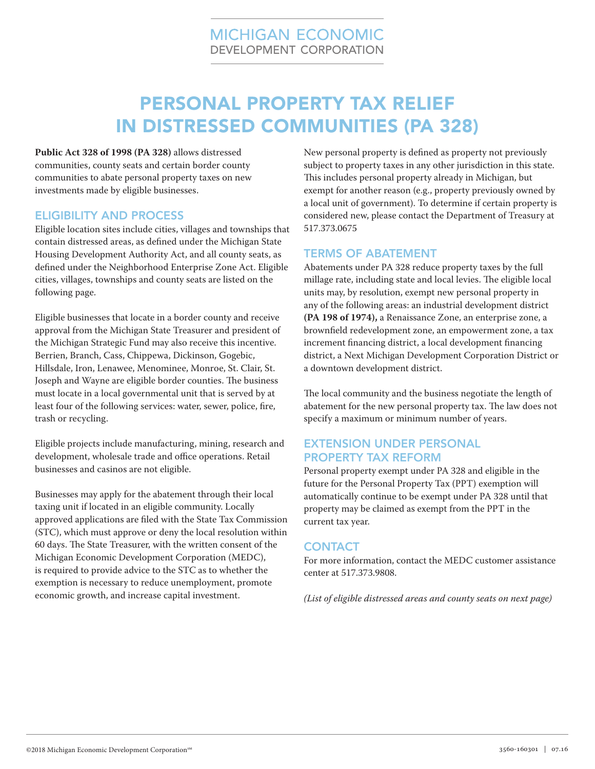# PERSONAL PROPERTY TAX RELIEF IN DISTRESSED COMMUNITIES (PA 328)

**[Public Act 328 of 1998 \(PA 328\)](http://www.michigan.gov/taxes/0,1607,7-238-43535_53197-213182--,00.html)** allows distressed communities, county seats and certain border county communities to abate personal property taxes on new investments made by eligible businesses.

### ELIGIBILITY AND PROCESS

Eligible location sites include cities, villages and townships that contain distressed areas, as defined under the Michigan State Housing Development Authority Act, and all county seats, as defined under the Neighborhood Enterprise Zone Act. Eligible cities, villages, townships and county seats are listed on the following page.

Eligible businesses that locate in a border county and receive approval from the Michigan State Treasurer and president of the Michigan Strategic Fund may also receive this incentive. Berrien, Branch, Cass, Chippewa, Dickinson, Gogebic, Hillsdale, Iron, Lenawee, Menominee, Monroe, St. Clair, St. Joseph and Wayne are eligible border counties. The business must locate in a local governmental unit that is served by at least four of the following services: water, sewer, police, fire, trash or recycling.

Eligible projects include manufacturing, mining, research and development, wholesale trade and office operations. Retail businesses and casinos are not eligible.

Businesses may apply for the abatement through their local taxing unit if located in an eligible community. Locally approved applications are filed with the State Tax Commission (STC), which must approve or deny the local resolution within 60 days. The State Treasurer, with the written consent of the Michigan Economic Development Corporation (MEDC), is required to provide advice to the STC as to whether the exemption is necessary to reduce unemployment, promote economic growth, and increase capital investment.

New personal property is defined as property not previously subject to property taxes in any other jurisdiction in this state. This includes personal property already in Michigan, but exempt for another reason (e.g., property previously owned by a local unit of government). To determine if certain property is considered new, please contact the Department of Treasury at 517.373.0675

### TERMS OF ABATEMENT

Abatements under PA 328 reduce property taxes by the full millage rate, including state and local levies. The eligible local units may, by resolution, exempt new personal property in any of the following areas: an industrial development district **[\(PA 198 of 1974\),](http://www.michigan.gov/taxes/0,1607,7-238-43535_53197-213175--,00.html)** a Renaissance Zone, an enterprise zone, a brownfield redevelopment zone, an empowerment zone, a tax increment financing district, a local development financing district, a Next Michigan Development Corporation District or a downtown development district.

The local community and the business negotiate the length of abatement for the new personal property tax. The law does not specify a maximum or minimum number of years.

# EXTENSION UNDER PERSONAL PROPERTY TAX REFORM

Personal property exempt under PA 328 and eligible in the future for the Personal Property Tax (PPT) exemption will automatically continue to be exempt under PA 328 until that property may be claimed as exempt from the PPT in the current tax year.

## **CONTACT**

For more information, contact the MEDC customer assistance center at 517.373.9808.

*(List of eligible distressed areas and county seats on next page)*